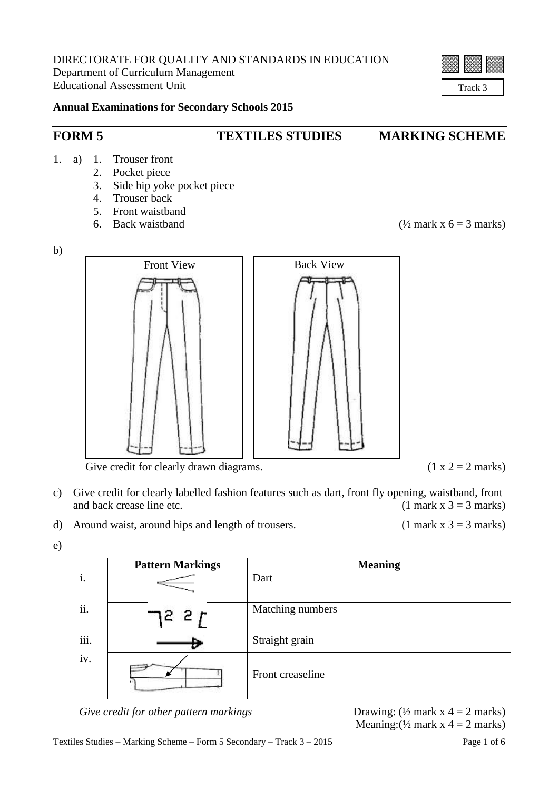# Track 3

## **Annual Examinations for Secondary Schools 2015**

## **FORM 5 TEXTILES STUDIES MARKING SCHEME**

## 1. a) 1. Trouser front

- 2. Pocket piece
- 3. Side hip yoke pocket piece
- 4. Trouser back
- 5. Front waistband
- 

6. Back waistband  $(\frac{1}{2} \text{ mark } x \text{ } 6 = 3 \text{ marks})$ 

c) Give credit for clearly labelled fashion features such as dart, front fly opening, waistband, front and back crease line etc.  $(1 \text{ mark } x \text{ } 3 = 3 \text{ marks})$ 

d) Around waist, around hips and length of trousers. (1 mark  $x$  3 = 3 marks)



**Pattern Markings Meaning** i. Dart ii.  $\Box$   $\Box$   $\Box$   $\Box$   $\Box$   $\Box$  Matching numbers iii. Straight grain iv. Front creaseline

Meaning:  $(\frac{1}{2}$  mark x 4 = 2 marks)



*Give credit for other pattern markings* **Drawing:** ( $\frac{1}{2}$  mark x 4 = 2 marks)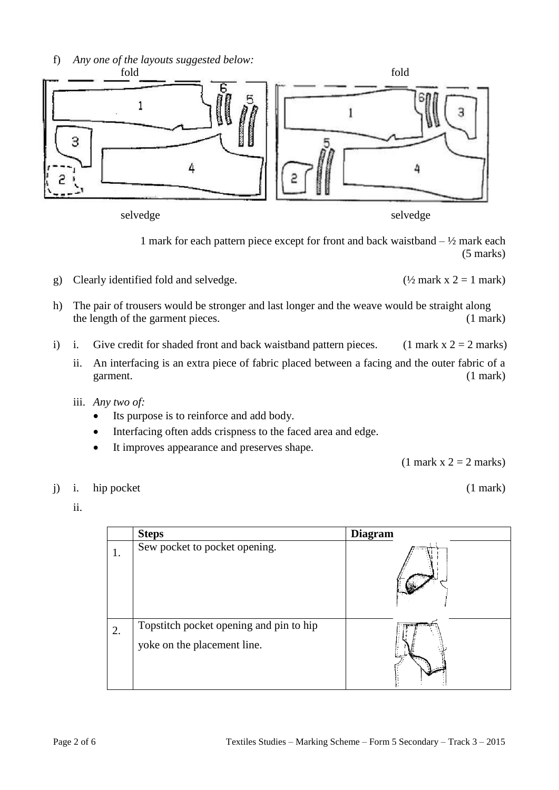

1 mark for each pattern piece except for front and back waistband  $-$  1/2 mark each (5 marks)

- g) Clearly identified fold and selvedge. ( $\frac{1}{2}$  mark x 2 = 1 mark)
- h) The pair of trousers would be stronger and last longer and the weave would be straight along the length of the garment pieces. (1 mark)
- i) i. Give credit for shaded front and back waistband pattern pieces. (1 mark  $x = 2$  marks)
	- ii. An interfacing is an extra piece of fabric placed between a facing and the outer fabric of a garment. (1 mark)
	- iii. *Any two of:*
		- Its purpose is to reinforce and add body.
		- Interfacing often adds crispness to the faced area and edge.
		- It improves appearance and preserves shape.

 $(1$  mark  $x$  2 = 2 marks)

- j) i. hip pocket (1 mark)
	- ii.

|    | <b>Steps</b>                                                           | <b>Diagram</b> |
|----|------------------------------------------------------------------------|----------------|
|    | Sew pocket to pocket opening.                                          |                |
| 2. | Topstitch pocket opening and pin to hip<br>yoke on the placement line. |                |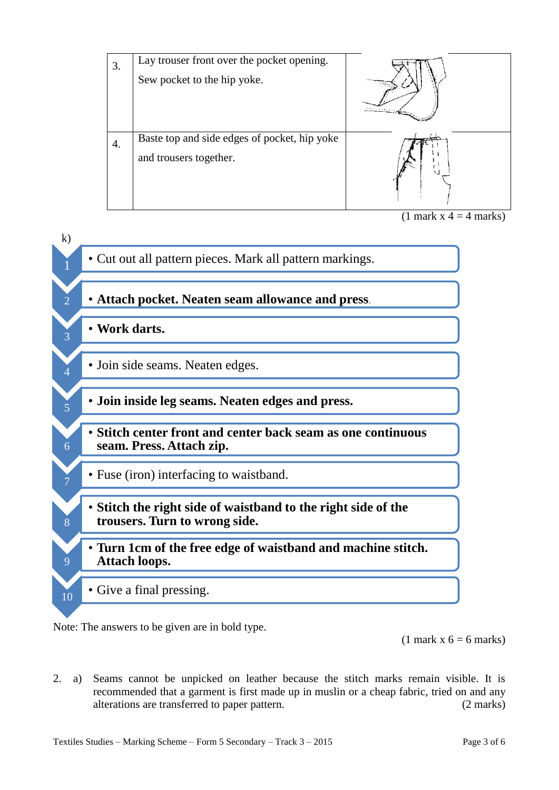

 $(1$  mark  $x$  4 = 4 marks)



Note: The answers to be given are in bold type.

 $(1$  mark x  $6 = 6$  marks)

2. a) Seams cannot be unpicked on leather because the stitch marks remain visible. It is recommended that a garment is first made up in muslin or a cheap fabric, tried on and any alterations are transferred to paper pattern. (2 marks)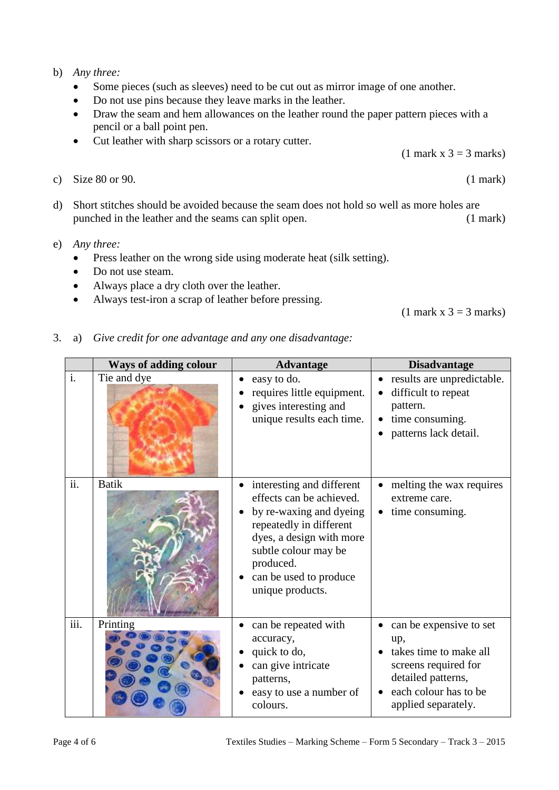## b) *Any three:*

- Some pieces (such as sleeves) need to be cut out as mirror image of one another.
- Do not use pins because they leave marks in the leather.
- Draw the seam and hem allowances on the leather round the paper pattern pieces with a pencil or a ball point pen.
- Cut leather with sharp scissors or a rotary cutter.
- c) Size  $80$  or  $90.$  (1 mark)
- d) Short stitches should be avoided because the seam does not hold so well as more holes are punched in the leather and the seams can split open. (1 mark)
- e) *Any three:*
	- Press leather on the wrong side using moderate heat (silk setting).
	- Do not use steam.
	- Always place a dry cloth over the leather.
	- Always test-iron a scrap of leather before pressing.

 $(1$  mark x 3 = 3 marks)

#### 3. a) *Give credit for one advantage and any one disadvantage:*

|                | <b>Ways of adding colour</b> | <b>Advantage</b>                                                                                                                                                                                                           | <b>Disadvantage</b>                                                                                                                                    |
|----------------|------------------------------|----------------------------------------------------------------------------------------------------------------------------------------------------------------------------------------------------------------------------|--------------------------------------------------------------------------------------------------------------------------------------------------------|
| $\mathbf{i}$ . | Tie and dye                  | easy to do.<br>requires little equipment.<br>gives interesting and<br>unique results each time.                                                                                                                            | results are unpredictable.<br>difficult to repeat<br>pattern.<br>time consuming.<br>patterns lack detail.                                              |
| ii.            | <b>Batik</b>                 | interesting and different<br>effects can be achieved.<br>by re-waxing and dyeing<br>repeatedly in different<br>dyes, a design with more<br>subtle colour may be<br>produced.<br>can be used to produce<br>unique products. | melting the wax requires<br>extreme care.<br>time consuming.<br>$\bullet$                                                                              |
| iii.           | Printing                     | can be repeated with<br>accuracy,<br>quick to do,<br>can give intricate<br>patterns,<br>easy to use a number of<br>colours.                                                                                                | can be expensive to set<br>up,<br>takes time to make all<br>screens required for<br>detailed patterns,<br>each colour has to be<br>applied separately. |

 $(1$  mark x 3 = 3 marks)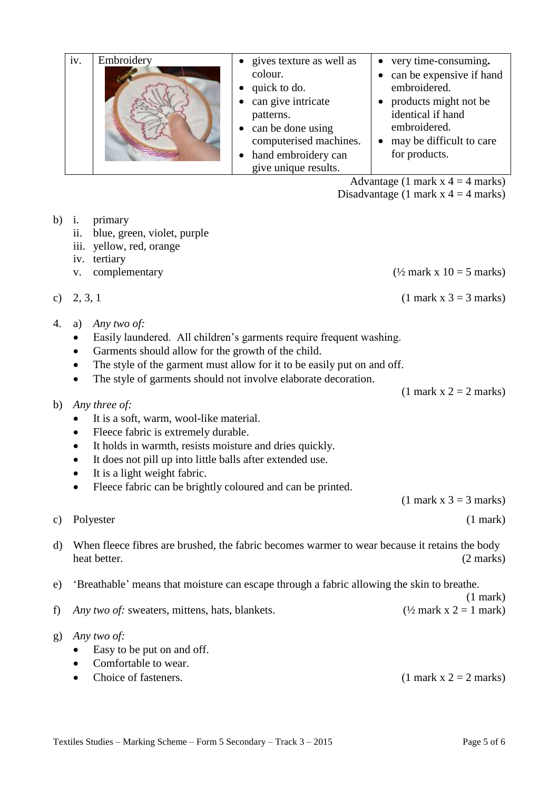|    | iv. | Embroidery                             | gives texture as well as<br>colour.<br>quick to do.<br>can give intricate<br>patterns.<br>can be done using<br>computerised machines.<br>hand embroidery can | very time-consuming.<br>$\bullet$<br>can be expensive if hand<br>embroidered.<br>products might not be<br>identical if hand<br>embroidered.<br>may be difficult to care<br>for products. |
|----|-----|----------------------------------------|--------------------------------------------------------------------------------------------------------------------------------------------------------------|------------------------------------------------------------------------------------------------------------------------------------------------------------------------------------------|
|    |     |                                        | give unique results.                                                                                                                                         |                                                                                                                                                                                          |
|    |     |                                        |                                                                                                                                                              | Advantage (1 mark $x = 4$ marks)                                                                                                                                                         |
|    |     |                                        |                                                                                                                                                              | Disadvantage (1 mark $x = 4$ marks)                                                                                                                                                      |
| b) | ii. | primary<br>blue, green, violet, purple |                                                                                                                                                              |                                                                                                                                                                                          |

- iii. yellow, red, orange
- iv. tertiary
- v. complementary  $(½ \text{ mark } x \ 10 = 5 \text{ marks})$

c) 2, 3, 1 (1 mark x 3 = 3 marks)

- 4. a) *Any two of:*
	- Easily laundered. All children's garments require frequent washing.
	- Garments should allow for the growth of the child.
	- The style of the garment must allow for it to be easily put on and off.
	- The style of garments should not involve elaborate decoration.
- b) *Any three of:*
	- It is a soft, warm, wool-like material.
	- Fleece fabric is extremely durable.
	- It holds in warmth, resists moisture and dries quickly.
	- It does not pill up into little balls after extended use.
	- It is a light weight fabric.
	- Fleece fabric can be brightly coloured and can be printed.

 $(1$  mark x 3 = 3 marks)

 $(1$  mark x  $2 = 2$  marks)

c) Polyester (1 mark)

(1 mark)

d) When fleece fibres are brushed, the fabric becomes warmer to wear because it retains the body heat better. (2 marks)

e) 'Breathable' means that moisture can escape through a fabric allowing the skin to breathe.

- f) *Any two of:* sweaters, mittens, hats, blankets. ( $\frac{1}{2}$  mark x 2 = 1 mark)
- g) *Any two of:*
	- Easy to be put on and off.
	- Comfortable to wear.
	- Choice of fasteners. (1 mark  $x = 2$  marks)